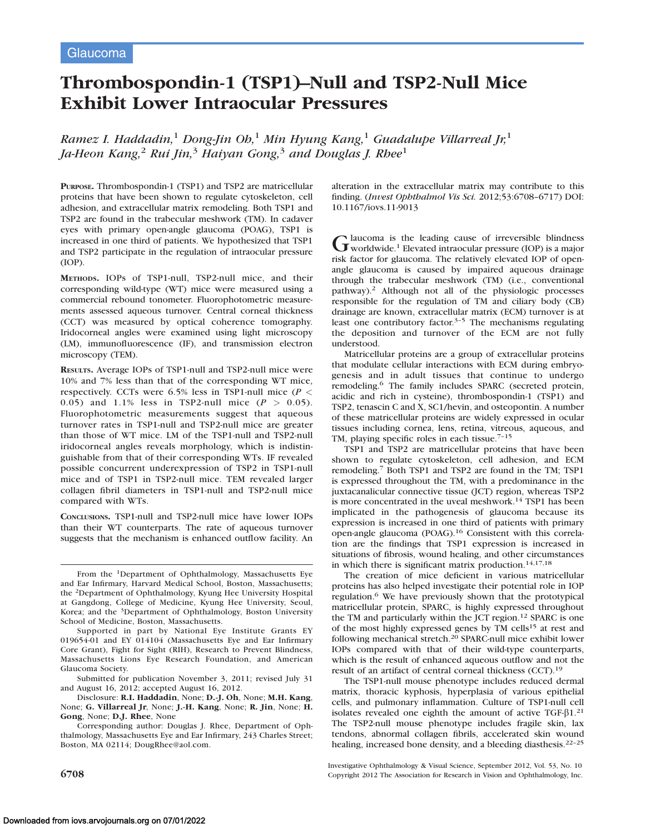# Thrombospondin-1 (TSP1)–Null and TSP2-Null Mice Exhibit Lower Intraocular Pressures

Ramez I. Haddadin,<sup>1</sup> Dong-Jin Ob,<sup>1</sup> Min Hyung Kang,<sup>1</sup> Guadalupe Villarreal Jr,<sup>1</sup> Ja-Heon Kang,<sup>2</sup> Rui Jin,<sup>3</sup> Haiyan Gong,<sup>3</sup> and Douglas J. Rhee<sup>1</sup>

PURPOSE. Thrombospondin-1 (TSP1) and TSP2 are matricellular proteins that have been shown to regulate cytoskeleton, cell adhesion, and extracellular matrix remodeling. Both TSP1 and TSP2 are found in the trabecular meshwork (TM). In cadaver eyes with primary open-angle glaucoma (POAG), TSP1 is increased in one third of patients. We hypothesized that TSP1 and TSP2 participate in the regulation of intraocular pressure (IOP).

METHODS. IOPs of TSP1-null, TSP2-null mice, and their corresponding wild-type (WT) mice were measured using a commercial rebound tonometer. Fluorophotometric measurements assessed aqueous turnover. Central corneal thickness (CCT) was measured by optical coherence tomography. Iridocorneal angles were examined using light microscopy (LM), immunofluorescence (IF), and transmission electron microscopy (TEM).

RESULTS. Average IOPs of TSP1-null and TSP2-null mice were 10% and 7% less than that of the corresponding WT mice, respectively. CCTs were 6.5% less in TSP1-null mice ( $P$  < 0.05) and 1.1% less in TSP2-null mice  $(P > 0.05)$ . Fluorophotometric measurements suggest that aqueous turnover rates in TSP1-null and TSP2-null mice are greater than those of WT mice. LM of the TSP1-null and TSP2-null iridocorneal angles reveals morphology, which is indistinguishable from that of their corresponding WTs. IF revealed possible concurrent underexpression of TSP2 in TSP1-null mice and of TSP1 in TSP2-null mice. TEM revealed larger collagen fibril diameters in TSP1-null and TSP2-null mice compared with WTs.

CONCLUSIONS. TSP1-null and TSP2-null mice have lower IOPs than their WT counterparts. The rate of aqueous turnover suggests that the mechanism is enhanced outflow facility. An

From the <sup>1</sup>Department of Ophthalmology, Massachusetts Eye and Ear Infirmary, Harvard Medical School, Boston, Massachusetts; the 2Department of Ophthalmology, Kyung Hee University Hospital at Gangdong, College of Medicine, Kyung Hee University, Seoul, Korea; and the <sup>3</sup>Department of Ophthalmology, Boston University School of Medicine, Boston, Massachusetts.

Supported in part by National Eye Institute Grants EY 019654-01 and EY 014104 (Massachusetts Eye and Ear Infirmary Core Grant), Fight for Sight (RIH), Research to Prevent Blindness, Massachusetts Lions Eye Research Foundation, and American Glaucoma Society.

Submitted for publication November 3, 2011; revised July 31 and August 16, 2012; accepted August 16, 2012.

Disclosure: R.I. Haddadin, None; D.-J. Oh, None; M.H. Kang, None; G. Villarreal Jr, None; J.-H. Kang, None; R. Jin, None; H. Gong, None; D.J. Rhee, None

Corresponding author: Douglas J. Rhee, Department of Ophthalmology, Massachusetts Eye and Ear Infirmary, 243 Charles Street; Boston, MA 02114; DougRhee@aol.com.

alteration in the extracellular matrix may contribute to this finding. (Invest Ophthalmol Vis Sci. 2012;53:6708–6717) DOI: 10.1167/iovs.11-9013

Glaucoma is the leading cause of irreversible blindness<br>worldwide.<sup>1</sup> Elevated intraocular pressure (IOP) is a major risk factor for glaucoma. The relatively elevated IOP of openangle glaucoma is caused by impaired aqueous drainage through the trabecular meshwork (TM) (i.e., conventional pathway).2 Although not all of the physiologic processes responsible for the regulation of TM and ciliary body (CB) drainage are known, extracellular matrix (ECM) turnover is at least one contributory factor.<sup>3-5</sup> The mechanisms regulating the deposition and turnover of the ECM are not fully understood.

Matricellular proteins are a group of extracellular proteins that modulate cellular interactions with ECM during embryogenesis and in adult tissues that continue to undergo remodeling.<sup>6</sup> The family includes SPARC (secreted protein, acidic and rich in cysteine), thrombospondin-1 (TSP1) and TSP2, tenascin C and X, SC1/hevin, and osteopontin. A number of these matricellular proteins are widely expressed in ocular tissues including cornea, lens, retina, vitreous, aqueous, and TM, playing specific roles in each tissue.<sup>7-15</sup>

TSP1 and TSP2 are matricellular proteins that have been shown to regulate cytoskeleton, cell adhesion, and ECM remodeling.<sup>7</sup> Both TSP1 and TSP2 are found in the TM; TSP1 is expressed throughout the TM, with a predominance in the juxtacanalicular connective tissue (JCT) region, whereas TSP2 is more concentrated in the uveal meshwork.14 TSP1 has been implicated in the pathogenesis of glaucoma because its expression is increased in one third of patients with primary open-angle glaucoma (POAG).<sup>16</sup> Consistent with this correlation are the findings that TSP1 expression is increased in situations of fibrosis, wound healing, and other circumstances in which there is significant matrix production.<sup>14,17,18</sup>

The creation of mice deficient in various matricellular proteins has also helped investigate their potential role in IOP regulation.<sup>6</sup> We have previously shown that the prototypical matricellular protein, SPARC, is highly expressed throughout the TM and particularly within the JCT region.<sup>12</sup> SPARC is one of the most highly expressed genes by TM cells<sup>15</sup> at rest and following mechanical stretch.20 SPARC-null mice exhibit lower IOPs compared with that of their wild-type counterparts, which is the result of enhanced aqueous outflow and not the result of an artifact of central corneal thickness (CCT).<sup>19</sup>

The TSP1-null mouse phenotype includes reduced dermal matrix, thoracic kyphosis, hyperplasia of various epithelial cells, and pulmonary inflammation. Culture of TSP1-null cell isolates revealed one eighth the amount of active TGF- $\beta$ 1.<sup>21</sup> The TSP2-null mouse phenotype includes fragile skin, lax tendons, abnormal collagen fibrils, accelerated skin wound healing, increased bone density, and a bleeding diasthesis.<sup>22–25</sup>

Investigative Ophthalmology & Visual Science, September 2012, Vol. 53, No. 10 6708 Copyright 2012 The Association for Research in Vision and Ophthalmology, Inc.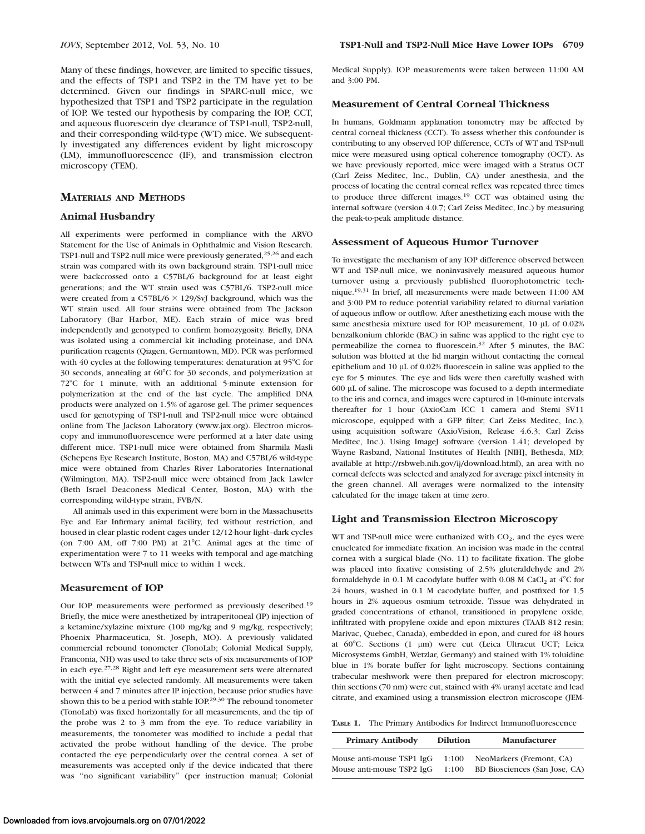Many of these findings, however, are limited to specific tissues, and the effects of TSP1 and TSP2 in the TM have yet to be determined. Given our findings in SPARC-null mice, we hypothesized that TSP1 and TSP2 participate in the regulation of IOP. We tested our hypothesis by comparing the IOP, CCT, and aqueous fluorescein dye clearance of TSP1-null, TSP2-null, and their corresponding wild-type (WT) mice. We subsequently investigated any differences evident by light microscopy (LM), immunofluorescence (IF), and transmission electron microscopy (TEM).

# MATERIALS AND METHODS

#### Animal Husbandry

All experiments were performed in compliance with the ARVO Statement for the Use of Animals in Ophthalmic and Vision Research. TSP1-null and TSP2-null mice were previously generated,25,26 and each strain was compared with its own background strain. TSP1-null mice were backcrossed onto a C57BL/6 background for at least eight generations; and the WT strain used was C57BL/6. TSP2-null mice were created from a C57BL/6  $\times$  129/SvJ background, which was the WT strain used. All four strains were obtained from The Jackson Laboratory (Bar Harbor, ME). Each strain of mice was bred independently and genotyped to confirm homozygosity. Briefly, DNA was isolated using a commercial kit including proteinase, and DNA purification reagents (Qiagen, Germantown, MD). PCR was performed with 40 cycles at the following temperatures: denaturation at  $95^{\circ}$ C for  $30$  seconds, annealing at  $60^{\circ}$ C for  $30$  seconds, and polymerization at 72°C for 1 minute, with an additional 5-minute extension for polymerization at the end of the last cycle. The amplified DNA products were analyzed on 1.5% of agarose gel. The primer sequences used for genotyping of TSP1-null and TSP2-null mice were obtained online from The Jackson Laboratory (www.jax.org). Electron microscopy and immunofluorescence were performed at a later date using different mice. TSP1-null mice were obtained from Sharmila Masli (Schepens Eye Research Institute, Boston, MA) and C57BL/6 wild-type mice were obtained from Charles River Laboratories International (Wilmington, MA). TSP2-null mice were obtained from Jack Lawler (Beth Israel Deaconess Medical Center, Boston, MA) with the corresponding wild-type strain, FVB/N.

All animals used in this experiment were born in the Massachusetts Eye and Ear Infirmary animal facility, fed without restriction, and housed in clear plastic rodent cages under 12/12-hour light–dark cycles (on  $7:00$  AM, off  $7:00$  PM) at  $21^{\circ}$ C. Animal ages at the time of experimentation were 7 to 11 weeks with temporal and age-matching between WTs and TSP-null mice to within 1 week.

## Measurement of IOP

Our IOP measurements were performed as previously described.<sup>19</sup> Briefly, the mice were anesthetized by intraperitoneal (IP) injection of a ketamine/xylazine mixture (100 mg/kg and 9 mg/kg, respectively; Phoenix Pharmaceutica, St. Joseph, MO). A previously validated commercial rebound tonometer (TonoLab; Colonial Medical Supply, Franconia, NH) was used to take three sets of six measurements of IOP in each eye.27,28 Right and left eye measurement sets were alternated with the initial eye selected randomly. All measurements were taken between 4 and 7 minutes after IP injection, because prior studies have shown this to be a period with stable IOP.29,30 The rebound tonometer (TonoLab) was fixed horizontally for all measurements, and the tip of the probe was 2 to 3 mm from the eye. To reduce variability in measurements, the tonometer was modified to include a pedal that activated the probe without handling of the device. The probe contacted the eye perpendicularly over the central cornea. A set of measurements was accepted only if the device indicated that there was ''no significant variability'' (per instruction manual; Colonial

Medical Supply). IOP measurements were taken between 11:00 AM and 3:00 PM.

# Measurement of Central Corneal Thickness

In humans, Goldmann applanation tonometry may be affected by central corneal thickness (CCT). To assess whether this confounder is contributing to any observed IOP difference, CCTs of WT and TSP-null mice were measured using optical coherence tomography (OCT). As we have previously reported, mice were imaged with a Stratus OCT (Carl Zeiss Meditec, Inc., Dublin, CA) under anesthesia, and the process of locating the central corneal reflex was repeated three times to produce three different images.<sup>19</sup> CCT was obtained using the internal software (version 4.0.7; Carl Zeiss Meditec, Inc.) by measuring the peak-to-peak amplitude distance.

#### Assessment of Aqueous Humor Turnover

To investigate the mechanism of any IOP difference observed between WT and TSP-null mice, we noninvasively measured aqueous humor turnover using a previously published fluorophotometric technique.19,31 In brief, all measurements were made between 11:00 AM and 3:00 PM to reduce potential variability related to diurnal variation of aqueous inflow or outflow. After anesthetizing each mouse with the same anesthesia mixture used for IOP measurement,  $10 \mu$ L of  $0.02\%$ benzalkonium chloride (BAC) in saline was applied to the right eye to permeabilize the cornea to fluorescein.32 After 5 minutes, the BAC solution was blotted at the lid margin without contacting the corneal epithelium and  $10 \mu$ L of 0.02% fluorescein in saline was applied to the eye for 5 minutes. The eye and lids were then carefully washed with 600 lL of saline. The microscope was focused to a depth intermediate to the iris and cornea, and images were captured in 10-minute intervals thereafter for 1 hour (AxioCam ICC 1 camera and Stemi SV11 microscope, equipped with a GFP filter; Carl Zeiss Meditec, Inc.), using acquisition software (AxioVision, Release 4.6.3; Carl Zeiss Meditec, Inc.). Using ImageJ software (version 1.41; developed by Wayne Rasband, National Institutes of Health [NIH], Bethesda, MD; available at http://rsbweb.nih.gov/ij/download.html), an area with no corneal defects was selected and analyzed for average pixel intensity in the green channel. All averages were normalized to the intensity calculated for the image taken at time zero.

## Light and Transmission Electron Microscopy

WT and TSP-null mice were euthanized with  $CO<sub>2</sub>$ , and the eyes were enucleated for immediate fixation. An incision was made in the central cornea with a surgical blade (No. 11) to facilitate fixation. The globe was placed into fixative consisting of 2.5% gluteraldehyde and 2% formaldehyde in 0.1 M cacodylate buffer with 0.08 M CaCl<sub>2</sub> at  $4^{\circ}$ C for 24 hours, washed in 0.1 M cacodylate buffer, and postfixed for 1.5 hours in 2% aqueous osmium tetroxide. Tissue was dehydrated in graded concentrations of ethanol, transitioned in propylene oxide, infiltrated with propylene oxide and epon mixtures (TAAB 812 resin; Marivac, Quebec, Canada), embedded in epon, and cured for 48 hours at 60°C. Sections (1 µm) were cut (Leica Ultracut UCT; Leica Microsystems GmbH, Wetzlar, Germany) and stained with 1% toluidine blue in 1% borate buffer for light microscopy. Sections containing trabecular meshwork were then prepared for electron microscopy; thin sections (70 nm) were cut, stained with 4% uranyl acetate and lead citrate, and examined using a transmission electron microscope (JEM-

TABLE 1. The Primary Antibodies for Indirect Immunofluorescence

| <b>Primary Antibody</b>   | <b>Dilution</b> | Manufacturer                  |
|---------------------------|-----------------|-------------------------------|
| Mouse anti-mouse TSP1 IgG | 1:100           | NeoMarkers (Fremont, CA)      |
| Mouse anti-mouse TSP2 IgG | 1:100           | BD Biosciences (San Jose, CA) |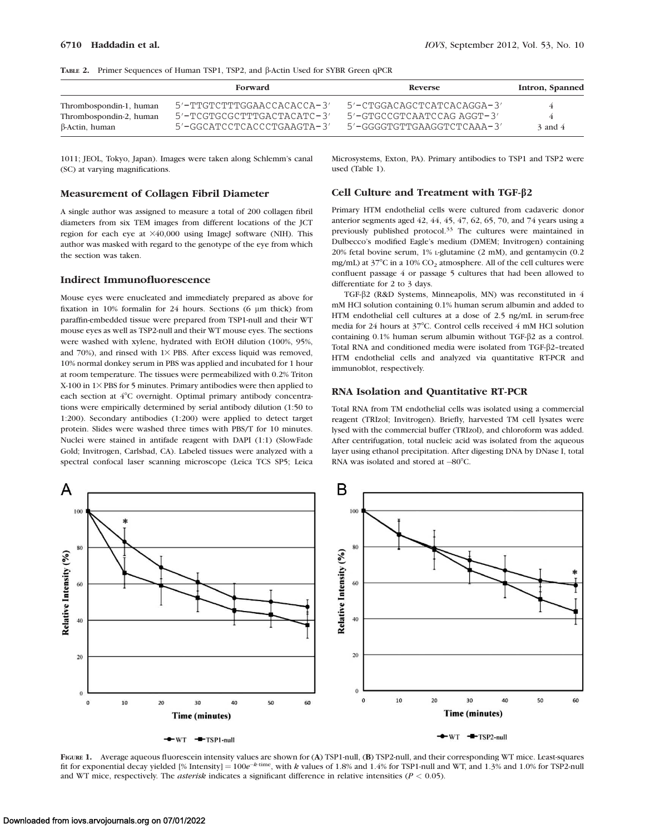|  | TABLE 2. Primer Sequences of Human TSP1, TSP2, and B-Actin Used for SYBR Green qPCR |  |  |  |  |  |  |  |  |
|--|-------------------------------------------------------------------------------------|--|--|--|--|--|--|--|--|
|--|-------------------------------------------------------------------------------------|--|--|--|--|--|--|--|--|

|                                                                      | Forward                                                                                      | Reverse                                                                                      | Intron, Spanned  |  |
|----------------------------------------------------------------------|----------------------------------------------------------------------------------------------|----------------------------------------------------------------------------------------------|------------------|--|
| Thrombospondin-1, human<br>Thrombospondin-2, human<br>β-Actin, human | $5'$ -TTGTCTTTGGAACCACACCA-3'<br>5'-TCGTGCGCTTTGACTACATC-3'<br>$5'$ -GGCATCCTCACCCTGAAGTA-3' | $5'$ -CTGGACAGCTCATCACAGGA-3'<br>$5'$ -GTGCCGTCAATCCAG AGGT-3'<br>5'-GGGGTGTTGAAGGTCTCAAA-3' | 4<br>$3$ and $4$ |  |

1011; JEOL, Tokyo, Japan). Images were taken along Schlemm's canal (SC) at varying magnifications.

## Measurement of Collagen Fibril Diameter

A single author was assigned to measure a total of 200 collagen fibril diameters from six TEM images from different locations of the JCT region for each eye at  $\times 40,000$  using ImageJ software (NIH). This author was masked with regard to the genotype of the eye from which the section was taken.

## Indirect Immunofluorescence

Mouse eyes were enucleated and immediately prepared as above for fixation in 10% formalin for 24 hours. Sections (6 µm thick) from paraffin-embedded tissue were prepared from TSP1-null and their WT mouse eyes as well as TSP2-null and their WT mouse eyes. The sections were washed with xylene, hydrated with EtOH dilution (100%, 95%, and 70%), and rinsed with  $1\times$  PBS. After excess liquid was removed, 10% normal donkey serum in PBS was applied and incubated for 1 hour at room temperature. The tissues were permeabilized with 0.2% Triton  $X-100$  in  $1\times$  PBS for 5 minutes. Primary antibodies were then applied to each section at 4°C overnight. Optimal primary antibody concentrations were empirically determined by serial antibody dilution (1:50 to 1:200). Secondary antibodies (1:200) were applied to detect target protein. Slides were washed three times with PBS/T for 10 minutes. Nuclei were stained in antifade reagent with DAPI (1:1) (SlowFade Gold; Invitrogen, Carlsbad, CA). Labeled tissues were analyzed with a spectral confocal laser scanning microscope (Leica TCS SP5; Leica

Microsystems, Exton, PA). Primary antibodies to TSP1 and TSP2 were used (Table 1).

## Cell Culture and Treatment with TGF-b2

Primary HTM endothelial cells were cultured from cadaveric donor anterior segments aged 42, 44, 45, 47, 62, 65, 70, and 74 years using a previously published protocol.33 The cultures were maintained in Dulbecco's modified Eagle's medium (DMEM; Invitrogen) containing 20% fetal bovine serum, 1% L-glutamine (2 mM), and gentamycin (0.2 mg/mL) at  $37^{\circ}$ C in a 10% CO<sub>2</sub> atmosphere. All of the cell cultures were confluent passage 4 or passage 5 cultures that had been allowed to differentiate for 2 to 3 days.

TGF-b2 (R&D Systems, Minneapolis, MN) was reconstituted in 4 mM HCl solution containing 0.1% human serum albumin and added to HTM endothelial cell cultures at a dose of 2.5 ng/mL in serum-free media for 24 hours at 37°C. Control cells received 4 mM HCl solution containing  $0.1\%$  human serum albumin without TGF- $\beta$ 2 as a control. Total RNA and conditioned media were isolated from TGF-β2-treated HTM endothelial cells and analyzed via quantitative RT-PCR and immunoblot, respectively.

#### RNA Isolation and Quantitative RT-PCR

Total RNA from TM endothelial cells was isolated using a commercial reagent (TRIzol; Invitrogen). Briefly, harvested TM cell lysates were lysed with the commercial buffer (TRIzol), and chloroform was added. After centrifugation, total nucleic acid was isolated from the aqueous layer using ethanol precipitation. After digesting DNA by DNase I, total RNA was isolated and stored at  $-80^{\circ}$ C.



FIGURE 1. Average aqueous fluorescein intensity values are shown for (A) TSP1-null, (B) TSP2-null, and their corresponding WT mice. Least-squares fit for exponential decay yielded [% Intensity] =  $100e^{-k \text{ time}}$ , with k values of 1.8% and 1.4% for TSP1-null and WT, and 1.3% and 1.0% for TSP2-null and WT mice, respectively. The *asterisk* indicates a significant difference in relative intensities ( $P < 0.05$ ).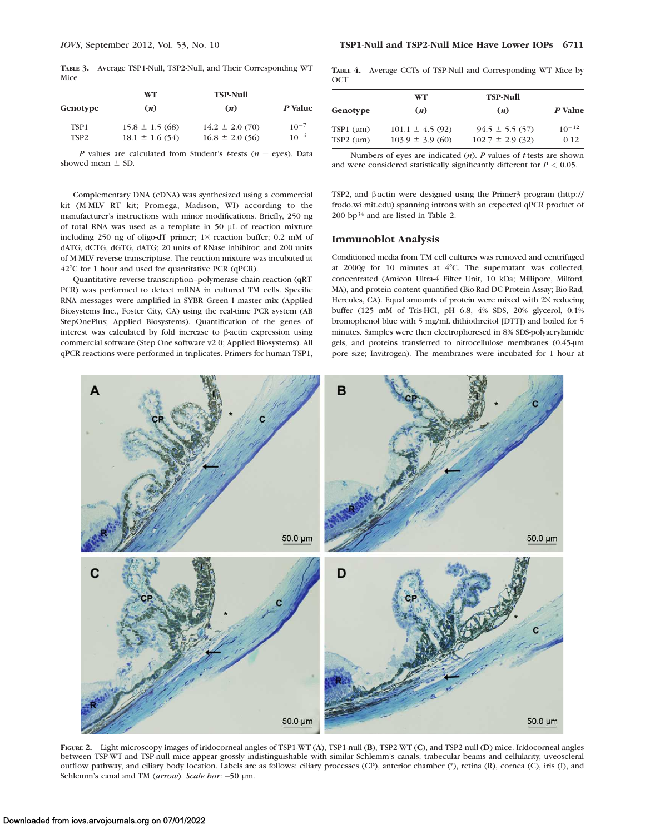TABLE 3. Average TSP1-Null, TSP2-Null, and Their Corresponding WT Mice

|                  | <b>WT</b>           | <b>TSP-Null</b>     | P Value   |  |
|------------------|---------------------|---------------------|-----------|--|
| Genotype         | (n)                 | (n)                 |           |  |
| TSP <sub>1</sub> | $15.8 \pm 1.5(68)$  | $14.2 \pm 2.0$ (70) | $10^{-7}$ |  |
| TSP <sub>2</sub> | $18.1 \pm 1.6$ (54) | $16.8 \pm 2.0$ (56) | $10^{-4}$ |  |

P values are calculated from Student's t-tests ( $n =$ eyes). Data showed mean  $\pm$  SD.

Complementary DNA (cDNA) was synthesized using a commercial kit (M-MLV RT kit; Promega, Madison, WI) according to the manufacturer's instructions with minor modifications. Briefly, 250 ng of total RNA was used as a template in 50  $\mu$ L of reaction mixture including 250 ng of oligo-dT primer;  $1\times$  reaction buffer; 0.2 mM of dATG, dCTG, dGTG, dATG; 20 units of RNase inhibitor; and 200 units of M-MLV reverse transcriptase. The reaction mixture was incubated at  $42^{\circ}$ C for 1 hour and used for quantitative PCR (qPCR).

Quantitative reverse transcription–polymerase chain reaction (qRT-PCR) was performed to detect mRNA in cultured TM cells. Specific RNA messages were amplified in SYBR Green I master mix (Applied Biosystems Inc., Foster City, CA) using the real-time PCR system (AB StepOnePlus; Applied Biosystems). Quantification of the genes of interest was calculated by fold increase to  $\beta$ -actin expression using commercial software (Step One software v2.0; Applied Biosystems). All qPCR reactions were performed in triplicates. Primers for human TSP1, TABLE 4. Average CCTs of TSP-Null and Corresponding WT Mice by **OCT** 

|                   | WT                   | <b>TSP-Null</b>      |            |  |
|-------------------|----------------------|----------------------|------------|--|
| Genotype          | (n)                  | (n)                  | P Value    |  |
| $TSP1$ ( $\mu$ m) | $101.1 \pm 4.5$ (92) | $94.5 \pm 5.5(57)$   | $10^{-12}$ |  |
| $TSP2$ ( $\mu$ m) | $103.9 \pm 3.9(60)$  | $102.7 \pm 2.9$ (32) | 0.12       |  |

Numbers of eyes are indicated  $(n)$ . P values of t-tests are shown and were considered statistically significantly different for  $P < 0.05$ .

TSP2, and  $\beta$ -actin were designed using the Primer3 program (http:// frodo.wi.mit.edu) spanning introns with an expected qPCR product of 200 bp34 and are listed in Table 2.

#### Immunoblot Analysis

Conditioned media from TM cell cultures was removed and centrifuged at  $2000g$  for 10 minutes at  $4^{\circ}$ C. The supernatant was collected, concentrated (Amicon Ultra-4 Filter Unit, 10 kDa; Millipore, Milford, MA), and protein content quantified (Bio-Rad DC Protein Assay; Bio-Rad, Hercules, CA). Equal amounts of protein were mixed with  $2\times$  reducing buffer (125 mM of Tris-HCl, pH 6.8, 4% SDS, 20% glycerol, 0.1% bromophenol blue with 5 mg/mL dithiothreitol [DTT]) and boiled for 5 minutes. Samples were then electrophoresed in 8% SDS-polyacrylamide gels, and proteins transferred to nitrocellulose membranes (0.45-µm pore size; Invitrogen). The membranes were incubated for 1 hour at



FIGURE 2. Light microscopy images of iridocorneal angles of TSP1-WT (A), TSP1-null (B), TSP2-WT (C), and TSP2-null (D) mice. Iridocorneal angles between TSP-WT and TSP-null mice appear grossly indistinguishable with similar Schlemm's canals, trabecular beams and cellularity, uveoscleral outflow pathway, and ciliary body location. Labels are as follows: ciliary processes (CP), anterior chamber (\*), retina (R), cornea (C), iris (I), and Schlemm's canal and TM (arrow). Scale bar: -50 µm.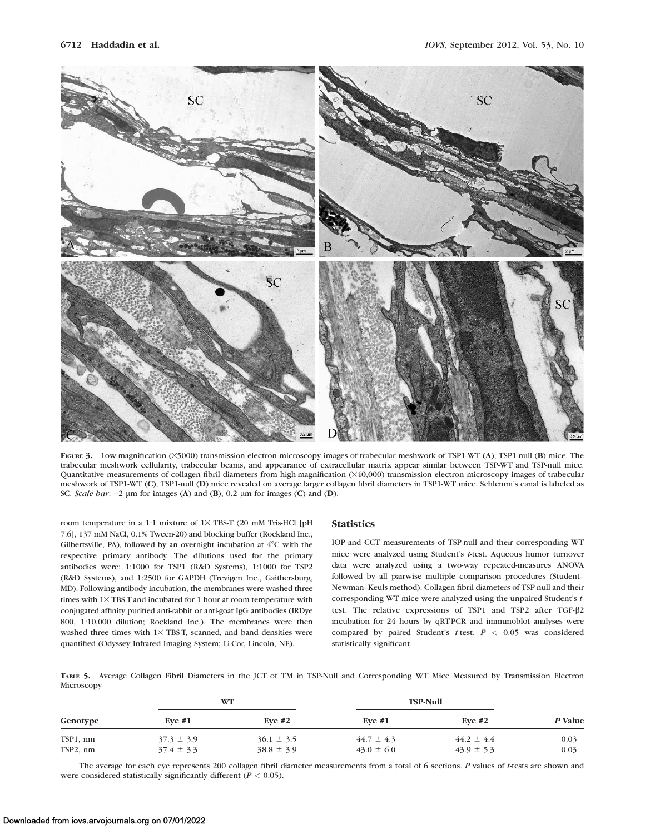

FIGURE 3. Low-magnification ( $\times$ 5000) transmission electron microscopy images of trabecular meshwork of TSP1-WT (A), TSP1-null (B) mice. The trabecular meshwork cellularity, trabecular beams, and appearance of extracellular matrix appear similar between TSP-WT and TSP-null mice. Quantitative measurements of collagen fibril diameters from high-magnification (×40,000) transmission electron microscopy images of trabecular meshwork of TSP1-WT (C), TSP1-null (D) mice revealed on average larger collagen fibril diameters in TSP1-WT mice. Schlemm's canal is labeled as SC. Scale bar:  $-2 \mu m$  for images (A) and (B), 0.2  $\mu m$  for images (C) and (D).

room temperature in a 1:1 mixture of  $1\times$  TBS-T (20 mM Tris-HCl [pH 7.6], 137 mM NaCl, 0.1% Tween-20) and blocking buffer (Rockland Inc., Gilbertsville, PA), followed by an overnight incubation at  $4^{\circ}$ C with the respective primary antibody. The dilutions used for the primary antibodies were: 1:1000 for TSP1 (R&D Systems), 1:1000 for TSP2 (R&D Systems), and 1:2500 for GAPDH (Trevigen Inc., Gaithersburg, MD). Following antibody incubation, the membranes were washed three times with  $1\times$  TBS-T and incubated for 1 hour at room temperature with conjugated affinity purified anti-rabbit or anti-goat IgG antibodies (IRDye 800, 1:10,000 dilution; Rockland Inc.). The membranes were then washed three times with  $1 \times$  TBS-T, scanned, and band densities were quantified (Odyssey Infrared Imaging System; Li-Cor, Lincoln, NE).

#### **Statistics**

IOP and CCT measurements of TSP-null and their corresponding WT mice were analyzed using Student's t-test. Aqueous humor turnover data were analyzed using a two-way repeated-measures ANOVA followed by all pairwise multiple comparison procedures (Student– Newman–Keuls method). Collagen fibril diameters of TSP-null and their corresponding WT mice were analyzed using the unpaired Student's ttest. The relative expressions of TSP1 and TSP2 after TGF-b2 incubation for 24 hours by qRT-PCR and immunoblot analyses were compared by paired Student's t-test.  $P < 0.05$  was considered statistically significant.

TABLE 5. Average Collagen Fibril Diameters in the JCT of TM in TSP-Null and Corresponding WT Mice Measured by Transmission Electron Microscopy

| Genotype | WT             |                | <b>TSP-Null</b> |                |         |
|----------|----------------|----------------|-----------------|----------------|---------|
|          | Eve $#1$       | Eve $#2$       | Eve $#1$        | Eve $#2$       | P Value |
| TSP1, nm | $37.3 \pm 3.9$ | $36.1 \pm 3.5$ | $44.7 \pm 4.3$  | $44.2 \pm 4.4$ | 0.03    |
| TSP2, nm | $37.4 \pm 3.3$ | $38.8 \pm 3.9$ | $43.0 \pm 6.0$  | $43.9 \pm 5.3$ | 0.03    |

The average for each eye represents 200 collagen fibril diameter measurements from a total of 6 sections. P values of t-tests are shown and were considered statistically significantly different ( $P < 0.05$ ).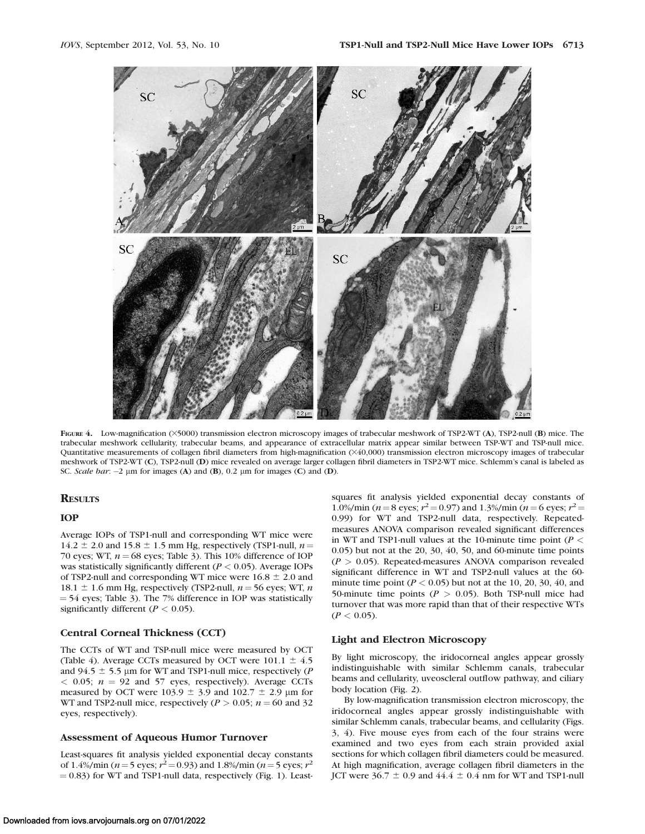

FIGURE 4. Low-magnification ( $\times$ 5000) transmission electron microscopy images of trabecular meshwork of TSP2-WT (A), TSP2-null (B) mice. The trabecular meshwork cellularity, trabecular beams, and appearance of extracellular matrix appear similar between TSP-WT and TSP-null mice. Quantitative measurements of collagen fibril diameters from high-magnification (×40,000) transmission electron microscopy images of trabecular meshwork of TSP2-WT (C), TSP2-null (D) mice revealed on average larger collagen fibril diameters in TSP2-WT mice. Schlemm's canal is labeled as SC. Scale bar:  $-2 \mu m$  for images (A) and (B), 0.2  $\mu m$  for images (C) and (D).

# **RESULTS**

#### IOP

Average IOPs of TSP1-null and corresponding WT mice were  $14.2 \pm 2.0$  and  $15.8 \pm 1.5$  mm Hg, respectively (TSP1-null,  $n =$ 70 eyes; WT,  $n = 68$  eyes; Table 3). This 10% difference of IOP was statistically significantly different ( $P < 0.05$ ). Average IOPs of TSP2-null and corresponding WT mice were  $16.8 \pm 2.0$  and 18.1  $\pm$  1.6 mm Hg, respectively (TSP2-null,  $n = 56$  eyes; WT, n  $=$  54 eyes; Table 3). The 7% difference in IOP was statistically significantly different ( $P < 0.05$ ).

## Central Corneal Thickness (CCT)

The CCTs of WT and TSP-null mice were measured by OCT (Table 4). Average CCTs measured by OCT were  $101.1 \pm 4.5$ and 94.5  $\pm$  5.5 µm for WT and TSP1-null mice, respectively (P  $<$  0.05;  $n = 92$  and 57 eyes, respectively). Average CCTs measured by OCT were 103.9  $\pm$  3.9 and 102.7  $\pm$  2.9 µm for WT and TSP2-null mice, respectively ( $P > 0.05$ ;  $n = 60$  and 32 eyes, respectively).

#### Assessment of Aqueous Humor Turnover

Least-squares fit analysis yielded exponential decay constants of 1.4%/min (*n* = 5 eyes;  $r^2$  = 0.93) and 1.8%/min (*n* = 5 eyes;  $r^2$  $(1, 0.83)$  for WT and TSP1-null data, respectively (Fig. 1). Leastsquares fit analysis yielded exponential decay constants of 1.0%/min (*n* = 8 eyes;  $r^2$  = 0.97) and 1.3%/min (*n* = 6 eyes;  $r^2$  = 0.99) for WT and TSP2-null data, respectively. Repeatedmeasures ANOVA comparison revealed significant differences in WT and TSP1-null values at the 10-minute time point ( $P <$ 0.05) but not at the 20, 30, 40, 50, and 60-minute time points  $(P > 0.05)$ . Repeated-measures ANOVA comparison revealed significant difference in WT and TSP2-null values at the 60 minute time point ( $P < 0.05$ ) but not at the 10, 20, 30, 40, and 50-minute time points ( $P > 0.05$ ). Both TSP-null mice had turnover that was more rapid than that of their respective WTs  $(P < 0.05)$ .

## Light and Electron Microscopy

By light microscopy, the iridocorneal angles appear grossly indistinguishable with similar Schlemm canals, trabecular beams and cellularity, uveoscleral outflow pathway, and ciliary body location (Fig. 2).

By low-magnification transmission electron microscopy, the iridocorneal angles appear grossly indistinguishable with similar Schlemm canals, trabecular beams, and cellularity (Figs. 3, 4). Five mouse eyes from each of the four strains were examined and two eyes from each strain provided axial sections for which collagen fibril diameters could be measured. At high magnification, average collagen fibril diameters in the JCT were  $36.7 \pm 0.9$  and  $44.4 \pm 0.4$  nm for WT and TSP1-null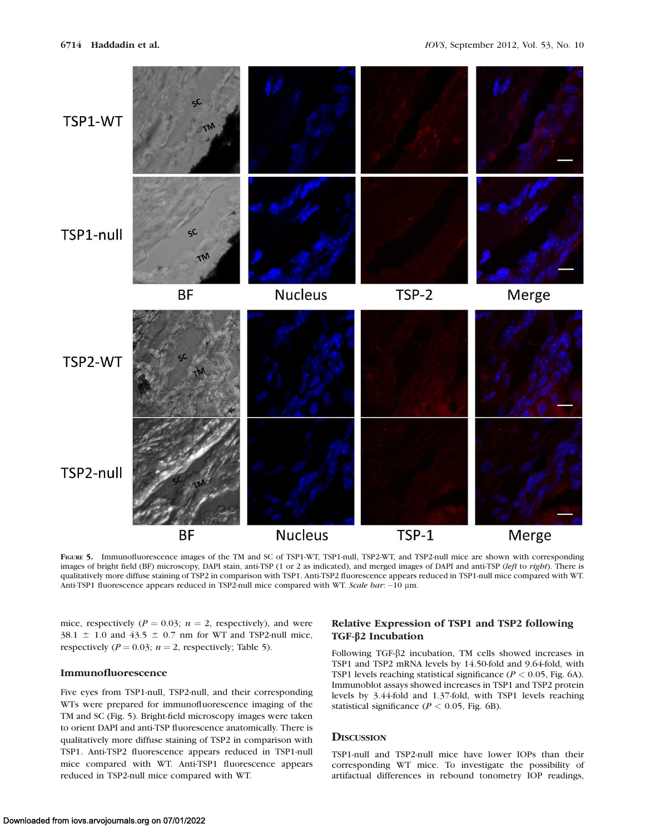

FIGURE 5. Immunofluorescence images of the TM and SC of TSP1-WT, TSP1-null, TSP2-WT, and TSP2-null mice are shown with corresponding images of bright field (BF) microscopy, DAPI stain, anti-TSP (1 or 2 as indicated), and merged images of DAPI and anti-TSP (left to right). There is qualitatively more diffuse staining of TSP2 in comparison with TSP1. Anti-TSP2 fluorescence appears reduced in TSP1-null mice compared with WT. Anti-TSP1 fluorescence appears reduced in TSP2-null mice compared with WT. Scale bar: -10 µm.

mice, respectively ( $P = 0.03$ ;  $n = 2$ , respectively), and were 38.1  $\pm$  1.0 and 43.5  $\pm$  0.7 nm for WT and TSP2-null mice, respectively ( $P = 0.03$ ;  $n = 2$ , respectively; Table 5).

## Immunofluorescence

Five eyes from TSP1-null, TSP2-null, and their corresponding WTs were prepared for immunofluorescence imaging of the TM and SC (Fig. 5). Bright-field microscopy images were taken to orient DAPI and anti-TSP fluorescence anatomically. There is qualitatively more diffuse staining of TSP2 in comparison with TSP1. Anti-TSP2 fluorescence appears reduced in TSP1-null mice compared with WT. Anti-TSP1 fluorescence appears reduced in TSP2-null mice compared with WT.

# Relative Expression of TSP1 and TSP2 following TGF-β2 Incubation

Following TGF-b2 incubation, TM cells showed increases in TSP1 and TSP2 mRNA levels by 14.50-fold and 9.64-fold, with TSP1 levels reaching statistical significance ( $P < 0.05$ , Fig. 6A). Immunoblot assays showed increases in TSP1 and TSP2 protein levels by 3.44-fold and 1.37-fold, with TSP1 levels reaching statistical significance ( $P < 0.05$ , Fig. 6B).

# **DISCUSSION**

TSP1-null and TSP2-null mice have lower IOPs than their corresponding WT mice. To investigate the possibility of artifactual differences in rebound tonometry IOP readings,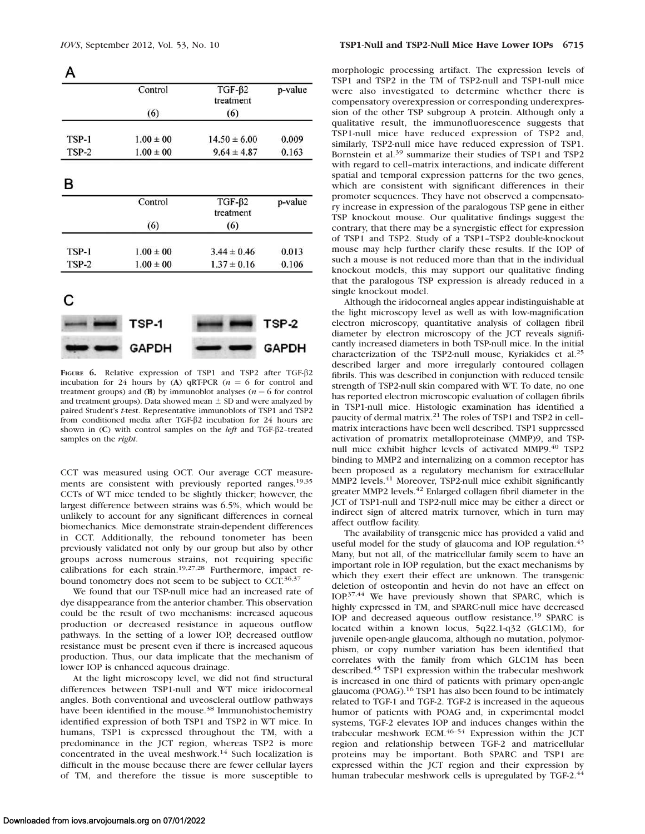A p-value Control  $TGF- $\beta$ 2$ treatment  $(6)$  $(6)$ TSP-1  $1.00 \pm 00$  $14.50 \pm 6.00$ 0.009 TSP-2  $1.00 \pm 00$  $9.64 \pm 4.87$ 0.163 в  $TGF- $\beta$ 2$ Control p-value treatment  $(6)$  $(6)$ TSP-1  $1.00 \pm 00$  $3.44 \pm 0.46$ 0.013 TSP-2  $1.00 \pm 00$  $1.37 \pm 0.16$ 0.106 C



FIGURE 6. Relative expression of TSP1 and TSP2 after TGF-B2 incubation for 24 hours by (A) qRT-PCR ( $n = 6$  for control and treatment groups) and (B) by immunoblot analyses ( $n = 6$  for control and treatment groups). Data showed mean  $\pm$  SD and were analyzed by paired Student's t-test. Representative immunoblots of TSP1 and TSP2 from conditioned media after TGF-b2 incubation for 24 hours are shown in  $(C)$  with control samples on the *left* and TGF- $\beta$ 2-treated samples on the right.

CCT was measured using OCT. Our average CCT measurements are consistent with previously reported ranges.19,35 CCTs of WT mice tended to be slightly thicker; however, the largest difference between strains was 6.5%, which would be unlikely to account for any significant differences in corneal biomechanics. Mice demonstrate strain-dependent differences in CCT. Additionally, the rebound tonometer has been previously validated not only by our group but also by other groups across numerous strains, not requiring specific calibrations for each strain.19,27,28 Furthermore, impact rebound tonometry does not seem to be subject to CCT.<sup>36,37</sup>

We found that our TSP-null mice had an increased rate of dye disappearance from the anterior chamber. This observation could be the result of two mechanisms: increased aqueous production or decreased resistance in aqueous outflow pathways. In the setting of a lower IOP, decreased outflow resistance must be present even if there is increased aqueous production. Thus, our data implicate that the mechanism of lower IOP is enhanced aqueous drainage.

At the light microscopy level, we did not find structural differences between TSP1-null and WT mice iridocorneal angles. Both conventional and uveoscleral outflow pathways have been identified in the mouse.<sup>38</sup> Immunohistochemistry identified expression of both TSP1 and TSP2 in WT mice. In humans, TSP1 is expressed throughout the TM, with a predominance in the JCT region, whereas TSP2 is more concentrated in the uveal meshwork.<sup>14</sup> Such localization is difficult in the mouse because there are fewer cellular layers of TM, and therefore the tissue is more susceptible to

morphologic processing artifact. The expression levels of TSP1 and TSP2 in the TM of TSP2-null and TSP1-null mice were also investigated to determine whether there is compensatory overexpression or corresponding underexpression of the other TSP subgroup A protein. Although only a qualitative result, the immunofluorescence suggests that TSP1-null mice have reduced expression of TSP2 and, similarly, TSP2-null mice have reduced expression of TSP1. Bornstein et al.<sup>39</sup> summarize their studies of TSP1 and TSP2 with regard to cell–matrix interactions, and indicate different spatial and temporal expression patterns for the two genes, which are consistent with significant differences in their promoter sequences. They have not observed a compensatory increase in expression of the paralogous TSP gene in either TSP knockout mouse. Our qualitative findings suggest the contrary, that there may be a synergistic effect for expression of TSP1 and TSP2. Study of a TSP1–TSP2 double-knockout mouse may help further clarify these results. If the IOP of such a mouse is not reduced more than that in the individual knockout models, this may support our qualitative finding that the paralogous TSP expression is already reduced in a single knockout model.

Although the iridocorneal angles appear indistinguishable at the light microscopy level as well as with low-magnification electron microscopy, quantitative analysis of collagen fibril diameter by electron microscopy of the JCT reveals significantly increased diameters in both TSP-null mice. In the initial characterization of the TSP2-null mouse, Kyriakides et al.<sup>25</sup> described larger and more irregularly contoured collagen fibrils. This was described in conjunction with reduced tensile strength of TSP2-null skin compared with WT. To date, no one has reported electron microscopic evaluation of collagen fibrils in TSP1-null mice. Histologic examination has identified a paucity of dermal matrix.<sup>21</sup> The roles of TSP1 and TSP2 in cell– matrix interactions have been well described. TSP1 suppressed activation of promatrix metalloproteinase (MMP)9, and TSPnull mice exhibit higher levels of activated MMP9.<sup>40</sup> TSP2 binding to MMP2 and internalizing on a common receptor has been proposed as a regulatory mechanism for extracellular MMP2 levels.<sup>41</sup> Moreover, TSP2-null mice exhibit significantly greater MMP2 levels.42 Enlarged collagen fibril diameter in the JCT of TSP1-null and TSP2-null mice may be either a direct or indirect sign of altered matrix turnover, which in turn may affect outflow facility.

The availability of transgenic mice has provided a valid and useful model for the study of glaucoma and IOP regulation.<sup>43</sup> Many, but not all, of the matricellular family seem to have an important role in IOP regulation, but the exact mechanisms by which they exert their effect are unknown. The transgenic deletion of osteopontin and hevin do not have an effect on IOP.37,44 We have previously shown that SPARC, which is highly expressed in TM, and SPARC-null mice have decreased IOP and decreased aqueous outflow resistance.<sup>19</sup> SPARC is located within a known locus, 5q22.1-q32 (GLC1M), for juvenile open-angle glaucoma, although no mutation, polymorphism, or copy number variation has been identified that correlates with the family from which GLC1M has been described.<sup>45</sup> TSP1 expression within the trabecular meshwork is increased in one third of patients with primary open-angle glaucoma (POAG).16 TSP1 has also been found to be intimately related to TGF-1 and TGF-2. TGF-2 is increased in the aqueous humor of patients with POAG and, in experimental model systems, TGF-2 elevates IOP and induces changes within the trabecular meshwork ECM.46–54 Expression within the JCT region and relationship between TGF-2 and matricellular proteins may be important. Both SPARC and TSP1 are expressed within the JCT region and their expression by human trabecular meshwork cells is upregulated by TGF-2.<sup>44</sup>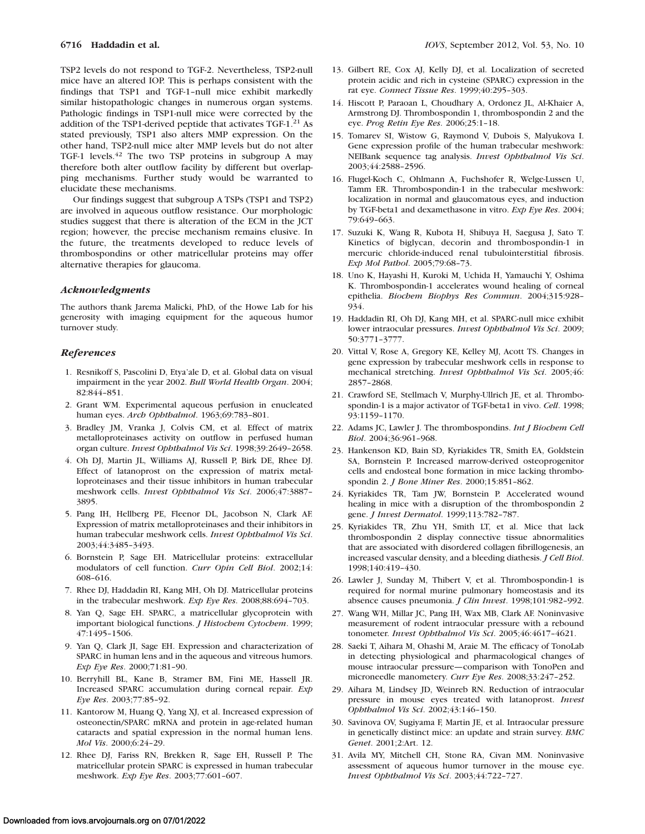TSP2 levels do not respond to TGF-2. Nevertheless, TSP2-null mice have an altered IOP. This is perhaps consistent with the findings that TSP1 and TGF-1–null mice exhibit markedly similar histopathologic changes in numerous organ systems. Pathologic findings in TSP1-null mice were corrected by the addition of the TSP1-derived peptide that activates TGF-1.<sup>21</sup> As stated previously, TSP1 also alters MMP expression. On the other hand, TSP2-null mice alter MMP levels but do not alter TGF-1 levels.<sup>42</sup> The two TSP proteins in subgroup A may therefore both alter outflow facility by different but overlapping mechanisms. Further study would be warranted to elucidate these mechanisms.

Our findings suggest that subgroup A TSPs (TSP1 and TSP2) are involved in aqueous outflow resistance. Our morphologic studies suggest that there is alteration of the ECM in the JCT region; however, the precise mechanism remains elusive. In the future, the treatments developed to reduce levels of thrombospondins or other matricellular proteins may offer alternative therapies for glaucoma.

#### Acknowledgments

The authors thank Jarema Malicki, PhD, of the Howe Lab for his generosity with imaging equipment for the aqueous humor turnover study.

#### References

- 1. Resnikoff S, Pascolini D, Etya'ale D, et al. Global data on visual impairment in the year 2002. Bull World Health Organ. 2004; 82:844–851.
- 2. Grant WM. Experimental aqueous perfusion in enucleated human eyes. Arch Ophthalmol. 1963;69:783-801.
- 3. Bradley JM, Vranka J, Colvis CM, et al. Effect of matrix metalloproteinases activity on outflow in perfused human organ culture. Invest Ophthalmol Vis Sci. 1998;39:2649–2658.
- 4. Oh DJ, Martin JL, Williams AJ, Russell P, Birk DE, Rhee DJ. Effect of latanoprost on the expression of matrix metalloproteinases and their tissue inhibitors in human trabecular meshwork cells. Invest Ophthalmol Vis Sci. 2006;47:3887– 3895.
- 5. Pang IH, Hellberg PE, Fleenor DL, Jacobson N, Clark AF. Expression of matrix metalloproteinases and their inhibitors in human trabecular meshwork cells. Invest Ophthalmol Vis Sci. 2003;44:3485–3493.
- 6. Bornstein P, Sage EH. Matricellular proteins: extracellular modulators of cell function. Curr Opin Cell Biol. 2002;14: 608–616.
- 7. Rhee DJ, Haddadin RI, Kang MH, Oh DJ. Matricellular proteins in the trabecular meshwork. Exp Eye Res. 2008;88:694–703.
- 8. Yan Q, Sage EH. SPARC, a matricellular glycoprotein with important biological functions. *J Histochem Cytochem*. 1999; 47:1495–1506.
- 9. Yan Q, Clark JI, Sage EH. Expression and characterization of SPARC in human lens and in the aqueous and vitreous humors. Exp Eye Res. 2000;71:81–90.
- 10. Berryhill BL, Kane B, Stramer BM, Fini ME, Hassell JR. Increased SPARC accumulation during corneal repair. Exp Eye Res. 2003;77:85–92.
- 11. Kantorow M, Huang Q, Yang XJ, et al. Increased expression of osteonectin/SPARC mRNA and protein in age-related human cataracts and spatial expression in the normal human lens. Mol Vis. 2000;6:24–29.
- 12. Rhee DJ, Fariss RN, Brekken R, Sage EH, Russell P. The matricellular protein SPARC is expressed in human trabecular meshwork. Exp Eye Res. 2003;77:601–607.
- 13. Gilbert RE, Cox AJ, Kelly DJ, et al. Localization of secreted protein acidic and rich in cysteine (SPARC) expression in the rat eye. Connect Tissue Res. 1999;40:295–303.
- 14. Hiscott P, Paraoan L, Choudhary A, Ordonez JL, Al-Khaier A, Armstrong DJ. Thrombospondin 1, thrombospondin 2 and the eye. Prog Retin Eye Res. 2006;25:1–18.
- 15. Tomarev SI, Wistow G, Raymond V, Dubois S, Malyukova I. Gene expression profile of the human trabecular meshwork: NEIBank sequence tag analysis. Invest Ophthalmol Vis Sci. 2003;44:2588–2596.
- 16. Flugel-Koch C, Ohlmann A, Fuchshofer R, Welge-Lussen U, Tamm ER. Thrombospondin-1 in the trabecular meshwork: localization in normal and glaucomatous eyes, and induction by TGF-beta1 and dexamethasone in vitro. Exp Eye Res. 2004; 79:649–663.
- 17. Suzuki K, Wang R, Kubota H, Shibuya H, Saegusa J, Sato T. Kinetics of biglycan, decorin and thrombospondin-1 in mercuric chloride-induced renal tubulointerstitial fibrosis. Exp Mol Pathol. 2005;79:68–73.
- 18. Uno K, Hayashi H, Kuroki M, Uchida H, Yamauchi Y, Oshima K. Thrombospondin-1 accelerates wound healing of corneal epithelia. Biochem Biophys Res Commun. 2004;315:928– 934.
- 19. Haddadin RI, Oh DJ, Kang MH, et al. SPARC-null mice exhibit lower intraocular pressures. Invest Ophthalmol Vis Sci. 2009; 50:3771–3777.
- 20. Vittal V, Rose A, Gregory KE, Kelley MJ, Acott TS. Changes in gene expression by trabecular meshwork cells in response to mechanical stretching. Invest Ophthalmol Vis Sci. 2005;46: 2857–2868.
- 21. Crawford SE, Stellmach V, Murphy-Ullrich JE, et al. Thrombospondin-1 is a major activator of TGF-beta1 in vivo. Cell. 1998; 93:1159–1170.
- 22. Adams JC, Lawler J. The thrombospondins. Int J Biochem Cell Biol. 2004;36:961–968.
- 23. Hankenson KD, Bain SD, Kyriakides TR, Smith EA, Goldstein SA, Bornstein P. Increased marrow-derived osteoprogenitor cells and endosteal bone formation in mice lacking thrombospondin 2. J Bone Miner Res. 2000;15:851–862.
- 24. Kyriakides TR, Tam JW, Bornstein P. Accelerated wound healing in mice with a disruption of the thrombospondin 2 gene. J Invest Dermatol. 1999;113:782–787.
- 25. Kyriakides TR, Zhu YH, Smith LT, et al. Mice that lack thrombospondin 2 display connective tissue abnormalities that are associated with disordered collagen fibrillogenesis, an increased vascular density, and a bleeding diathesis. J Cell Biol. 1998;140:419–430.
- 26. Lawler J, Sunday M, Thibert V, et al. Thrombospondin-1 is required for normal murine pulmonary homeostasis and its absence causes pneumonia. J Clin Invest. 1998;101:982–992.
- 27. Wang WH, Millar JC, Pang IH, Wax MB, Clark AF. Noninvasive measurement of rodent intraocular pressure with a rebound tonometer. Invest Ophthalmol Vis Sci. 2005;46:4617–4621.
- 28. Saeki T, Aihara M, Ohashi M, Araie M. The efficacy of TonoLab in detecting physiological and pharmacological changes of mouse intraocular pressure—comparison with TonoPen and microneedle manometery. Curr Eye Res. 2008;33:247–252.
- 29. Aihara M, Lindsey JD, Weinreb RN. Reduction of intraocular pressure in mouse eyes treated with latanoprost. Invest Ophthalmol Vis Sci. 2002;43:146–150.
- 30. Savinova OV, Sugiyama F, Martin JE, et al. Intraocular pressure in genetically distinct mice: an update and strain survey. BMC Genet. 2001;2:Art. 12.
- 31. Avila MY, Mitchell CH, Stone RA, Civan MM. Noninvasive assessment of aqueous humor turnover in the mouse eye. Invest Ophthalmol Vis Sci. 2003;44:722–727.